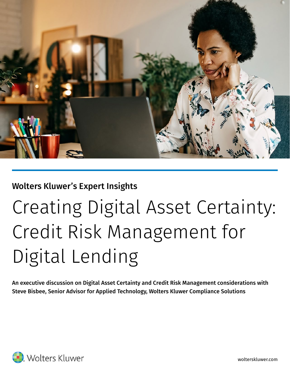

### Wolters Kluwer's Expert Insights

# Creating Digital Asset Certainty: Credit Risk Management for Digital Lending

An executive discussion on Digital Asset Certainty and Credit Risk Management considerations with Steve Bisbee, Senior Advisor for Applied Technology, Wolters Kluwer Compliance Solutions

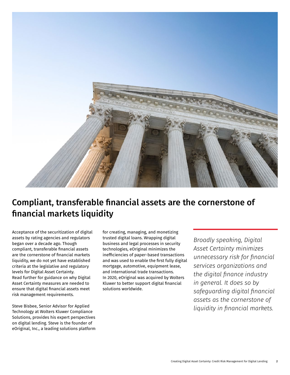

## Compliant, transferable financial assets are the cornerstone of financial markets liquidity

Acceptance of the securitization of digital assets by rating agencies and regulators began over a decade ago. Though compliant, transferable financial assets are the cornerstone of financial markets liquidity, we do not yet have established criteria at the legislative and regulatory levels for Digital Asset Certainty. Read further for guidance on why Digital Asset Certainty measures are needed to ensure that digital financial assets meet risk management requirements.

Steve Bisbee, Senior Advisor for Applied Technology at Wolters Kluwer Compliance Solutions, provides his expert perspectives on digital lending. Steve is the founder of eOriginal, Inc., a leading solutions platform

for creating, managing, and monetizing trusted digital loans. Wrapping digital business and legal processes in security technologies, eOriginal minimizes the inefficiencies of paper-based transactions and was used to enable the first fully digital mortgage, automotive, equipment lease, and international trade transactions. In 2020, eOriginal was acquired by Wolters Kluwer to better support digital financial solutions worldwide.

*Broadly speaking, Digital Asset Certainty minimizes unnecessary risk for financial services organizations and the digital finance industry in general. It does so by safeguarding digital financial assets as the cornerstone of liquidity in financial markets.*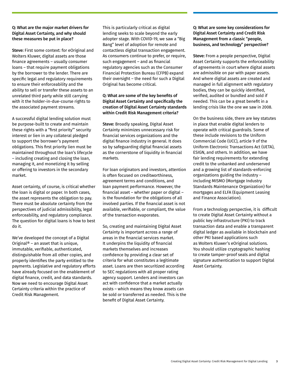### Q: What are the major market drivers for Digital Asset Certainty, and why should these measures be put in place?

Steve: First some context: for eOriginal and Wolters Kluwer, digital assets are those finance agreements – usually consumer loans – that require payment obligations by the borrower to the lender. There are specific legal and regulatory requirements to ensure their enforceability and the ability to sell or transfer these assets to an unrelated third party while still carrying with it the holder-in-due-course rights to the associated payment streams.

A successful digital lending solution must be purpose-built to create and maintain these rights with a "first priority"' security interest or lien in any collateral pledged to support the borrower's payment obligations. This first priority lien must be maintained throughout the loan's lifecycle – including creating and closing the loan, managing it, and monetizing it by selling or offering to investors in the secondary market.

Asset certainty, of course, is critical whether the loan is digital or paper. In both cases, the asset represents the obligation to pay. There must be absolute certainty from the perspectives of judicial admissibility, legal enforceability, and regulatory compliance. The question for digital loans is how to best do it.

We've developed the concept of a Digital Original<sup>®</sup> – an asset that is unique, immutable, verifiable, authenticated, distinguishable from all other copies, and properly identifies the party entitled to the payments. Legislative and regulatory efforts have already focused on the enablement of digital finance, credit, and data standards. Now we need to encourage Digital Asset Certainty criteria within the practice of Credit Risk Management.

This is particularly critical as digital lending seeks to scale beyond the early adopter stage. With COVID-19, we saw a "Big Bang" level of adoption for remote and contactless digital transaction engagement. As consumers continue to prefer, or require, such engagement – and as financial regulatory agencies such as the Consumer Financial Protection Bureau (CFPB) expand their oversight – the need for such a Digital Original has become critical.

### Q: What are some of the key benefits of Digital Asset Certainty and specifically the creation of Digital Asset Certainty standards within Credit Risk Management criteria?

Steve: Broadly speaking, Digital Asset Certainty minimizes unnecessary risk for financial services organizations and the digital finance industry in general. It does so by safeguarding digital financial assets as the cornerstone of liquidity in financial markets.

For loan originators and investors, attention is often focused on creditworthiness, agreement terms and conditions, and loan payment performance. However, the financial asset – whether paper or digital – is the foundation for the obligations of all involved parties. If the financial asset is not available, verifiable, or compliant, the value of the transaction evaporates.

So, creating and maintaining Digital Asset Certainty is important across a range of areas in the financial services market. It underpins the liquidity of financial markets themselves and increases confidence by providing a clear set of criteria for what constitutes a legitimate asset. Loans are then securitized according to SEC regulations with all proper rating agency support. Lenders and investors can act with confidence that a market actually exists – which means they know assets can be sold or transferred as needed. This is the benefit of Digital Asset Certainty.

Q: What are some key considerations for Digital Asset Certainty and Credit Risk Management from a classic "people, business, and technology" perspective?

Steve: From a people perspective, Digital Asset Certainty supports the enforceability of agreements in court where digital assets are admissible on par with paper assets. And where digital assets are created and managed in full alignment with regulatory bodies, they can be quickly identified, verified, audited or bundled and sold if needed. This can be a great benefit in a lending crisis like the one we saw in 2008.

On the business side, there are key statutes in place that enable digital lenders to operate with critical guardrails. Some of these include revisions to the Uniform Commercial Code (UCC), article 9 of the Uniform Electronic Transactions Act (UETA), ESIGN, and others. In addition, we have fair lending requirements for extending credit to the unbanked and underserved and a growing list of standards-enforcing organizations guiding the industry – including MISMO (Mortgage Industry Standards Maintenance Organization) for mortgages and ELFA (Equipment Leasing and Finance Association).

From a technology perspective, it is difficult to create Digital Asset Certainty without a public key infrastructure (PKI) to track transaction data and enable a transparent digital ledger as available in blockchain and other PKI based applications such as Wolters Kluwer's eOriginal solutions. You should utilize cryptographic hashing to create tamper-proof seals and digital signature authentication to support Digital Asset Certainty.